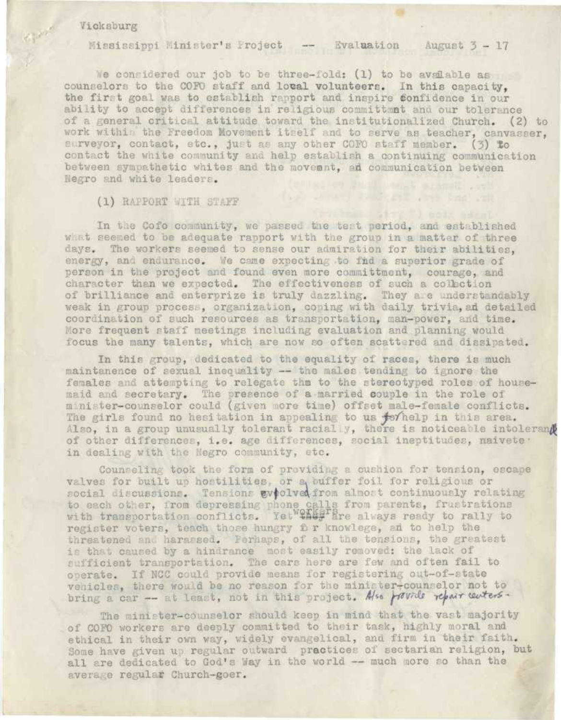#### Vicksburg

Mississippi Minister's Project - Evaluation August  $3 - 17$ 

We considered our job to be three-fold: (1) to be available as counselors to the COFO staff and local volunteers. In this capacity, the first goal was to establish rapport and inspire confidence in our ability to accept differences in religious committmet and our tolerance of a general critical attitude toward the institutionalized Church. (2) to work within the Freedom Movement itself and to serve as teacher, canvasser, surveyor, contact, stc., just as any other COFO staff member. (3) to contact the white community and help establish a continuing communication between sympathetic whites and the movement, an communication between Negro and white leaders.

## (1) RAPPORT WITH STAFF

In the Cofo community, we passed the test period, and established what seemed to be adequate rapport with the group in a matter of three days. The workers seemed to sense our admiration for their abilities. energy, and endurance. We came expecting to fid a superior grade of person in the project and found even more committment, courage, and character than we expected. The effectiveness of such a collection of brilliance and enterprize is truly dazzling. They are understandably weak in group process, organization, coping with daily trivia, ad detailed coordination of such resources as transportation, man-power, and time. More frequent staff meetings including evaluation and planning would focus the many talents, which are now so often scattered and dissipated.

In this group, dedicated to the equality of races, there is much maintanence of sexual inequality -- the males tending to ignore the females and attempting to relegate the to the stereotyped roles of housemaid and secretary. The presence of a married couple in the role of minister-counselor could (given more time) offset male-female conflicts. The girls found no hesitation in appealing to us forhelp in this area.<br>Also, in a group unusually tolerant racially, there is noticeable intolerand of other differences, i.e. age differences, social ineptitudes, naivete . in dealing with the Negro community, etc.

Counseling took the form of providing a cushion for tension, escape valves for built up hostilities, or a buffer foil for religious or social discussions. Tensions evolved from almost continuously relating to each other, from depressing phone calls from parents, frustrations with transportation conflicts. Yet this are always ready to rally to register voters, teach those hungry for knowlege, an to help the threatened and harassed. Ferhaps, of all the tensions, the greatest is that caused by a hindrance most easily removed: the lack of sufficient transportation. The cars here are few and often fail to operate. If NCC could provide means for registering out-of-state vehicles, there would be no reason for the minister-counselor not to bring a car -- at least, not in this project. Also provide repair centers.

The minister-counselor should keep in mind that the vast majority of COFO workers are deeply committed to their task, highly moral and ethical in their own way, widely evangelical, and firm in their faith. Some have given up regular outward practices of sectarian religion, but all are dedicated to God's Way in the world -- much more so than the average regular Church-goer.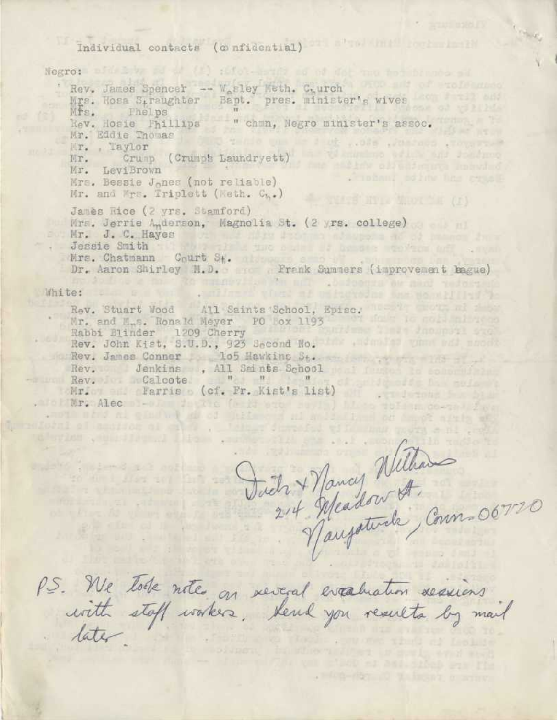Individual contacts (confidential)

Negro: bid by ad at (1) :000-series of dot me to the Rev. James Spencer -- W<sub>e</sub>sley Weth. C.urch Mrs. Hosa Straughter Bapt. pres. minister's wives Rev. Hosie Phillips - " chmn, Negro minister's assoc. Mr. Eddie Thomas ande win le d ut ... ofs ... arrange .Toward Mr. Taylor a veladimino orașe and Johanno Crump (Crumps Laundryett) Mr. LeviBrown Mr. y Tobani oshim has remall Mrs. Bessie J<sub>o</sub>nes (not reliable) Mr. and Mrs. Triplett (Weth. C..) James Rice (2 yrs. Stamford) Mrs. Jerrie Anderson, Magnolia St. (2 yrs. college) Mr. J. C. Hayes and the company of the company of the company of the company of the company of the company of the company of the company of the company of the company of the company of the company of the company of the com Jessie Smith and the three company when the same Mrs. Chatmann Court St. Dr. Aaron Shirley N.D. . Frank Summers (improvement bague)

ho do dive a may life among y an ban null soudcours as mad testament

White:

a part is a semidiar a label me

**Robert County Continued** 

so die i siss so lan

**Printed I** Wa  $\frac{1}{2}$  (  $\frac{1}{2}$  )  $\frac{1}{2}$  (  $\frac{1}{2}$  )  $\frac{1}{2}$ 

Rev. Stuart Wood All Saints School, Episc. Mr. and M.s. Ronald Meyer PO Box 1193<br>Rabbi Blinder 1209 Cherry Rev. John Kist, S.U.D., 923 Second No. When you was month Rev. James Conner 105 Hawking St. 10. 10 March 2014 Rev. Jenkins, All Smints School Rev. Calcote " " " " Mr. Parris (cf. Fr. Kist's list) .alebiar. Alec dest facts (a is and said) has not made an in anoth which al gind with all of the test and and seller in the sample with all

Such + Nancy Without ention with the all life a single star and weaper

. Hed-Art 10 2 in the morney

P.S. We tole notes on several evaluation sessions

but of meeting of calls . This formation will must a mi and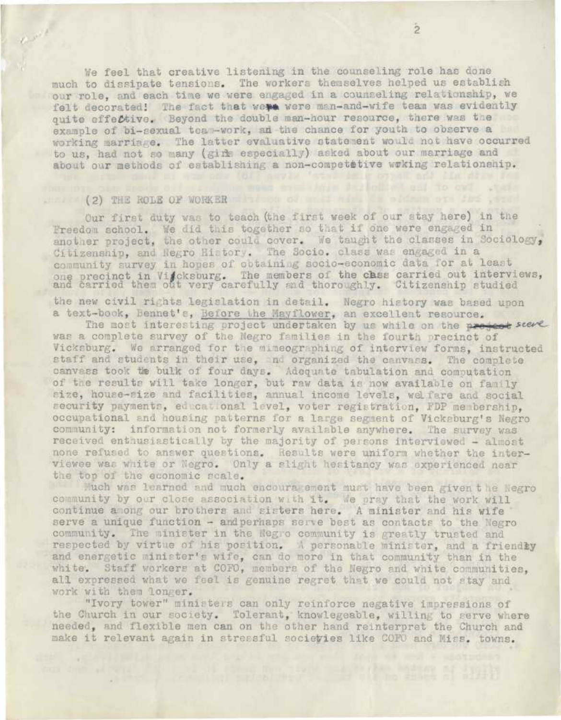We feel that creative listening in the counseling role has done much to dissipate tensions. The workers themselves helped us establish our role, and each time we were engaged in a counseling relationship, we felt decorated! The fact that were were man-and-wife team was evidently quite effective. Beyond the double man-hour resource, there was the example of bi-sexual tea -work, an the chance for youth to observe a working marriage. The latter evaluative statement would not have occurred to us, had not so many (girl especially) asked about our marriage and about our methods of establishing a non-competetive waking relationship.

# (2) THE ROLE OF WORKER COLORED TO A COMPANY OF THE STATE OF THE STATE OF THE STATE OF THE STATE OF THE STATE OF THE STATE OF THE STATE OF THE STATE OF THE STATE OF THE STATE OF THE STATE OF THE STATE OF THE STATE OF THE ST

 $e^{\mu t}$ 

Cur first duty was to teach (the first week of our stay here) in the Freedom school. We did this together so that if one were engaged in another project, the other could cover. We taught the classes in Sociology, Citizenship, and Negro History. The Socio, class was engaged in a community survey in hopes of obtaining socio-economic data for at least one precinct in Vifcksburg. The members of the chase carried out interviews, and carried them out very carefully and thoroughly. Citizenship studied

the new civil rights legislation in detail. Negro history was based upon a text-book, Bennet's, Before the Mayflower, an excellent resource.

The most interesting project undertaken by us while on the present seeme was a complete survey of the Negro families in the fourth precinct of Vicksburg. We arranged for the mimeographing of interview forms, instructed staff and students in their use, nd organized the canvass. The complete canvass took the bulk of four days. Adequate tabulation and computation of the results will take longer, but raw data is now available on family size, house-size and facilities, annual income levels, welfare and social security payments, educational level, voter registration, FDP membership, occupational and housing patterns for a large segment of Vicksburg's Negro community: information not formerly available anywhere. The survey was received enthusiastically by the majority of persons interviewed - almost none refused to answer questions. Results were uniform whether the interviewee was white or Negro. Only a slight hesitancy was experienced near the top of the economic scale.

Much was learned and much encouragement must have been given the Negro community by our close association with it. We pray that the work will continue among our brothers and sisters here. A minister and his wife serve a unique function - and perhaps serve best as contacts to the Negro. community. The minister in the Negro community is greatly trusted and respected by virtue of his position. A personable minister, and a friendly and energetic minister's wife, can do more in that community than in the white. Staff workers at COFO, members of the Negro and white communities, all expressed what we feel is genuine regret that we could not stay and work with them longer.

"Ivory tower" ministers can only reinforce negative impressions of the Church in our society. Tolerant, knowlegeable, willing to serve where needed, and flexible men can on the other hand reinterpret the Church and make it relevant again in stressful societies like COFO and Miss. towns.

training a field of our to our year.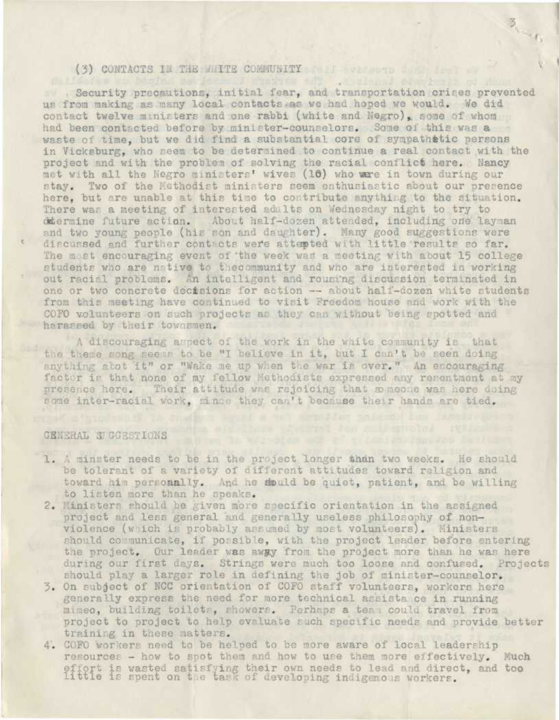## (3) CONTACTS IN THE MILTE CONNUNITY IN THE INTERNATIONAL CONTROL INTO A RESERVE

. Security precautions, initial fear, and transportation crises prevented us from making as many local contacts as we had hoped we would. We did contact twelve ministers and one rabbi (white and Negro), some of whom had been contacted before by minister-counselors. Some 01 this was a waste of time, but we did find a substantial core of sympathetic persons in Vicksburg, who seem to be determined to continue a real contact with the project and with the problem of solving the racial conflict here. Nancy met with all the Negro ministers' wives (16) who were in town during our stay. Two of the Methodist ministers seem enthusiastic about our presence here, but are unable at this time to contribute anything to the situation. There was a meeting of interested adults on Wednesday night to try to determine future action. About half-dozen attended, including one layman and two young people (his son and daughter). Many good suggestions were discussed and further contacts were attempted with little results so far. The most encouraging event of the week was a meeting with about 15 college students who are native to thecommunity and who are interested in working out racial problems. An intelligent and rousing discussion terminated in one or two concrete decisions for action -- about half-dozen white students from this meeting have continued to visit Freedom house and work with the COFO volunteers on such projects as they can without being spotted and harassed by their townsmen.

 $\overline{\mathcal{B}}_{\mathcal{A}_{\mathcal{M}}\cup\mathcal{B}_{\mathcal{B}}}$ 

A discouraging aspect of the work in the white community is that the theme song seems to be "I believe in it, but I can't be seen doing anything abot it" or "Wake me up when the war is over." An encouraging factor is that none of my fellow Methodists expressed any resentment at my presence here. Their attitude was rejoicing that semeone was here doing some inter-racial work, since they can't because their hands are tied.

### GENERAL SIGGESTIONS

- 1. A minster needs to be in the project longer than two weeks. He should be tolerant of a variety of different attitudes toward religion and toward him personally. And he sould be quiet, patient, and be willing to listen more than he speaks.
- 2. Ministers should be given more specific orientation in the assigned project and less general and generally useless philosophy of nonviolence (which *ii* probably assumed by most volunteers). Ministers should communicate, if possible, with the project leader before entering the project. Our leader was awpy from the project more than he was here during our first days. Strings were much too loose and confused. Projects should play a larger role in defining the job of minister-counselor.
- 3. On subject of NCC orientation of COFO staff volunteers, workers here generally express the need for more technical assists, ce in running mimeo, building toilets, showers. Perhaps a tea could travel from project to project to help evaluate such specific needs and provide better training in these matters.
- 4. COFO workers need to be helped to be more aware of local leadership resources - how to spot them and how to use them more effectively. Much effort is wasted satisfying their own needs to lead and direct, and too Little is spent on the task of developing indigenous workers.